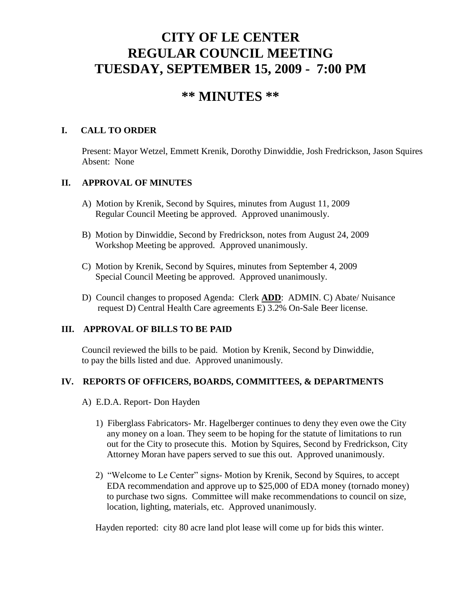# **CITY OF LE CENTER REGULAR COUNCIL MEETING TUESDAY, SEPTEMBER 15, 2009 - 7:00 PM**

## **\*\* MINUTES \*\***

## **I. CALL TO ORDER**

Present: Mayor Wetzel, Emmett Krenik, Dorothy Dinwiddie, Josh Fredrickson, Jason Squires Absent: None

## **II. APPROVAL OF MINUTES**

- A) Motion by Krenik, Second by Squires, minutes from August 11, 2009 Regular Council Meeting be approved. Approved unanimously.
- B) Motion by Dinwiddie, Second by Fredrickson, notes from August 24, 2009 Workshop Meeting be approved. Approved unanimously.
- C) Motion by Krenik, Second by Squires, minutes from September 4, 2009 Special Council Meeting be approved. Approved unanimously.
- D) Council changes to proposed Agenda: Clerk **ADD**: ADMIN. C) Abate/ Nuisance request D) Central Health Care agreements E) 3.2% On-Sale Beer license.

## **III. APPROVAL OF BILLS TO BE PAID**

Council reviewed the bills to be paid. Motion by Krenik, Second by Dinwiddie, to pay the bills listed and due. Approved unanimously.

## **IV. REPORTS OF OFFICERS, BOARDS, COMMITTEES, & DEPARTMENTS**

- A) E.D.A. Report- Don Hayden
	- 1) Fiberglass Fabricators- Mr. Hagelberger continues to deny they even owe the City any money on a loan. They seem to be hoping for the statute of limitations to run out for the City to prosecute this. Motion by Squires, Second by Fredrickson, City Attorney Moran have papers served to sue this out. Approved unanimously.
	- 2) "Welcome to Le Center" signs- Motion by Krenik, Second by Squires, to accept EDA recommendation and approve up to \$25,000 of EDA money (tornado money) to purchase two signs. Committee will make recommendations to council on size, location, lighting, materials, etc. Approved unanimously.

Hayden reported: city 80 acre land plot lease will come up for bids this winter.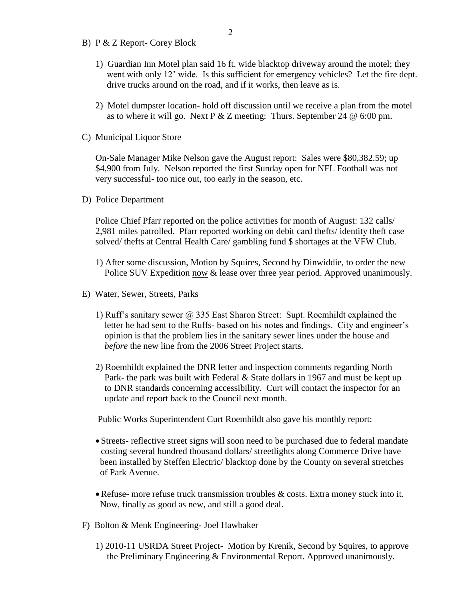- B) P & Z Report- Corey Block
	- 1) Guardian Inn Motel plan said 16 ft. wide blacktop driveway around the motel; they went with only 12' wide. Is this sufficient for emergency vehicles? Let the fire dept. drive trucks around on the road, and if it works, then leave as is.
	- 2) Motel dumpster location- hold off discussion until we receive a plan from the motel as to where it will go. Next P  $&Z$  meeting: Thurs. September 24  $\omega$  6:00 pm.
- C) Municipal Liquor Store

On-Sale Manager Mike Nelson gave the August report: Sales were \$80,382.59; up \$4,900 from July. Nelson reported the first Sunday open for NFL Football was not very successful- too nice out, too early in the season, etc.

D) Police Department

Police Chief Pfarr reported on the police activities for month of August: 132 calls/ 2,981 miles patrolled. Pfarr reported working on debit card thefts/ identity theft case solved/ thefts at Central Health Care/ gambling fund \$ shortages at the VFW Club.

- 1) After some discussion, Motion by Squires, Second by Dinwiddie, to order the new Police SUV Expedition now & lease over three year period. Approved unanimously.
- E) Water, Sewer, Streets, Parks
	- 1) Ruff's sanitary sewer  $\omega$  335 East Sharon Street: Supt. Roemhildt explained the letter he had sent to the Ruffs- based on his notes and findings. City and engineer's opinion is that the problem lies in the sanitary sewer lines under the house and *before* the new line from the 2006 Street Project starts.
	- 2) Roemhildt explained the DNR letter and inspection comments regarding North Park- the park was built with Federal & State dollars in 1967 and must be kept up to DNR standards concerning accessibility. Curt will contact the inspector for an update and report back to the Council next month.

Public Works Superintendent Curt Roemhildt also gave his monthly report:

- Streets- reflective street signs will soon need to be purchased due to federal mandate costing several hundred thousand dollars/ streetlights along Commerce Drive have been installed by Steffen Electric/ blacktop done by the County on several stretches of Park Avenue.
- Refuse- more refuse truck transmission troubles & costs. Extra money stuck into it. Now, finally as good as new, and still a good deal.
- F) Bolton & Menk Engineering- Joel Hawbaker
	- 1) 2010-11 USRDA Street Project- Motion by Krenik, Second by Squires, to approve the Preliminary Engineering & Environmental Report. Approved unanimously.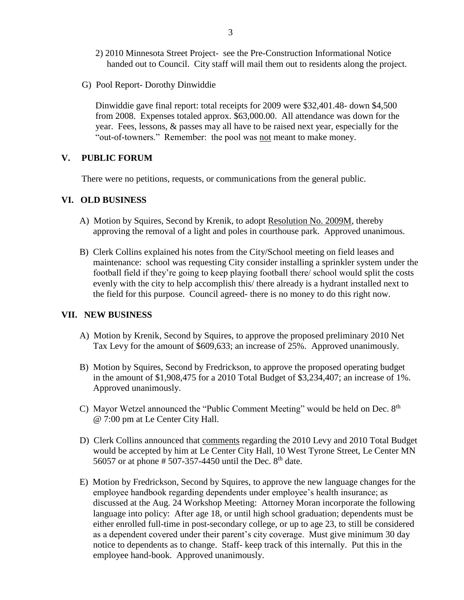- 2) 2010 Minnesota Street Project- see the Pre-Construction Informational Notice handed out to Council. City staff will mail them out to residents along the project.
- G) Pool Report- Dorothy Dinwiddie

 Dinwiddie gave final report: total receipts for 2009 were \$32,401.48- down \$4,500 from 2008. Expenses totaled approx. \$63,000.00. All attendance was down for the year. Fees, lessons, & passes may all have to be raised next year, especially for the "out-of-towners." Remember: the pool was not meant to make money.

#### **V. PUBLIC FORUM**

There were no petitions, requests, or communications from the general public.

#### **VI. OLD BUSINESS**

- A) Motion by Squires, Second by Krenik, to adopt Resolution No. 2009M, thereby approving the removal of a light and poles in courthouse park. Approved unanimous.
- B) Clerk Collins explained his notes from the City/School meeting on field leases and maintenance: school was requesting City consider installing a sprinkler system under the football field if they're going to keep playing football there/ school would split the costs evenly with the city to help accomplish this/ there already is a hydrant installed next to the field for this purpose. Council agreed- there is no money to do this right now.

#### **VII. NEW BUSINESS**

- A) Motion by Krenik, Second by Squires, to approve the proposed preliminary 2010 Net Tax Levy for the amount of \$609,633; an increase of 25%. Approved unanimously.
- B) Motion by Squires, Second by Fredrickson, to approve the proposed operating budget in the amount of \$1,908,475 for a 2010 Total Budget of \$3,234,407; an increase of 1%. Approved unanimously.
- C) Mayor Wetzel announced the "Public Comment Meeting" would be held on Dec. 8<sup>th</sup> @ 7:00 pm at Le Center City Hall.
	- D) Clerk Collins announced that comments regarding the 2010 Levy and 2010 Total Budget would be accepted by him at Le Center City Hall, 10 West Tyrone Street, Le Center MN 56057 or at phone # 507-357-4450 until the Dec.  $8<sup>th</sup>$  date.
	- E) Motion by Fredrickson, Second by Squires, to approve the new language changes for the employee handbook regarding dependents under employee's health insurance; as discussed at the Aug. 24 Workshop Meeting: Attorney Moran incorporate the following language into policy: After age 18, or until high school graduation; dependents must be either enrolled full-time in post-secondary college, or up to age 23, to still be considered as a dependent covered under their parent's city coverage. Must give minimum 30 day notice to dependents as to change. Staff- keep track of this internally. Put this in the employee hand-book. Approved unanimously.